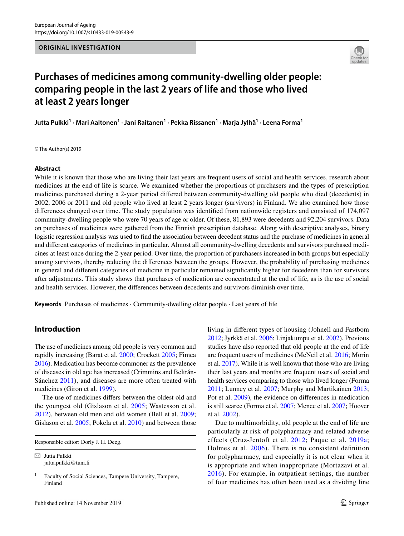

# **Purchases of medicines among community‑dwelling older people: comparing people in the last 2 years of life and those who lived at least 2 years longer**

**Jutta Pulkki1 · Mari Aaltonen1 · Jani Raitanen1 · Pekka Rissanen1 · Marja Jylhä1 · Leena Forma1**

© The Author(s) 2019

## **Abstract**

While it is known that those who are living their last years are frequent users of social and health services, research about medicines at the end of life is scarce. We examined whether the proportions of purchasers and the types of prescription medicines purchased during a 2-year period difered between community-dwelling old people who died (decedents) in 2002, 2006 or 2011 and old people who lived at least 2 years longer (survivors) in Finland. We also examined how those diferences changed over time. The study population was identifed from nationwide registers and consisted of 174,097 community-dwelling people who were 70 years of age or older. Of these, 81,893 were decedents and 92,204 survivors. Data on purchases of medicines were gathered from the Finnish prescription database. Along with descriptive analyses, binary logistic regression analysis was used to fnd the association between decedent status and the purchase of medicines in general and diferent categories of medicines in particular. Almost all community-dwelling decedents and survivors purchased medicines at least once during the 2-year period. Over time, the proportion of purchasers increased in both groups but especially among survivors, thereby reducing the diferences between the groups. However, the probability of purchasing medicines in general and diferent categories of medicine in particular remained signifcantly higher for decedents than for survivors after adjustments. This study shows that purchases of medication are concentrated at the end of life, as is the use of social and health services. However, the diferences between decedents and survivors diminish over time.

**Keywords** Purchases of medicines · Community-dwelling older people · Last years of life

# **Introduction**

The use of medicines among old people is very common and rapidly increasing (Barat et al. [2000](#page-8-0); Crockett [2005;](#page-8-1) Fimea [2016](#page-8-2)). Medication has become commoner as the prevalence of diseases in old age has increased (Crimmins and Beltrán-Sánchez [2011](#page-8-3)), and diseases are more often treated with medicines (Giron et al. [1999\)](#page-8-4).

The use of medicines difers between the oldest old and the youngest old (Gislason et al. [2005](#page-8-5); Wastesson et al. [2012](#page-8-6)), between old men and old women (Bell et al. [2009](#page-8-7); Gislason et al. [2005](#page-8-5); Pokela et al. [2010\)](#page-8-8) and between those

 $\boxtimes$  Jutta Pulkki jutta.pulkki@tuni.f living in diferent types of housing (Johnell and Fastbom [2012](#page-8-9); Jyrkkä et al. [2006](#page-8-10); Linjakumpu et al. [2002\)](#page-8-11). Previous studies have also reported that old people at the end of life are frequent users of medicines (McNeil et al. [2016;](#page-8-12) Morin et al. [2017](#page-8-13)). While it is well known that those who are living their last years and months are frequent users of social and health services comparing to those who lived longer (Forma [2011;](#page-8-14) Lunney et al. [2007](#page-8-15); Murphy and Martikainen [2013](#page-8-16); Pot et al. [2009](#page-8-17)), the evidence on diferences in medication is still scarce (Forma et al. [2007](#page-8-18); Menec et al. [2007;](#page-8-19) Hoover et al. [2002](#page-8-20)).

Due to multimorbidity, old people at the end of life are particularly at risk of polypharmacy and related adverse effects (Cruz-Jentoft et al. [2012;](#page-8-21) Paque et al. [2019a](#page-8-22); Holmes et al. [2006\)](#page-8-23). There is no consistent defnition for polypharmacy, and especially it is not clear when it is appropriate and when inappropriate (Mortazavi et al. [2016](#page-8-24)). For example, in outpatient settings, the number of four medicines has often been used as a dividing line

Responsible editor: Dorly J. H. Deeg.

 $<sup>1</sup>$  Faculty of Social Sciences, Tampere University, Tampere,</sup> Finland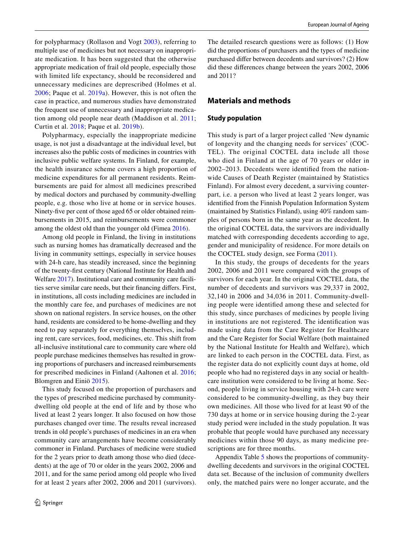for polypharmacy (Rollason and Vogt [2003\)](#page-8-25), referring to multiple use of medicines but not necessary on inappropriate medication. It has been suggested that the otherwise appropriate medication of frail old people, especially those with limited life expectancy, should be reconsidered and unnecessary medicines are deprescribed (Holmes et al. [2006;](#page-8-23) Paque et al. [2019a](#page-8-22)). However, this is not often the case in practice, and numerous studies have demonstrated the frequent use of unnecessary and inappropriate medication among old people near death (Maddison et al. [2011](#page-8-26); Curtin et al. [2018](#page-8-27); Paque et al. [2019b](#page-8-28)).

Polypharmacy, especially the inappropriate medicine usage, is not just a disadvantage at the individual level, but increases also the public costs of medicines in countries with inclusive public welfare systems. In Finland, for example, the health insurance scheme covers a high proportion of medicine expenditures for all permanent residents. Reimbursements are paid for almost all medicines prescribed by medical doctors and purchased by community-dwelling people, e.g. those who live at home or in service houses. Ninety-fve per cent of those aged 65 or older obtained reimbursements in 2015, and reimbursements were commoner among the oldest old than the younger old (Fimea [2016](#page-8-2)).

Among old people in Finland, the living in institutions such as nursing homes has dramatically decreased and the living in community settings, especially in service houses with 24-h care, has steadily increased, since the beginning of the twenty-frst century (National Institute for Health and Welfare [2017\)](#page-8-29). Institutional care and community care facilities serve similar care needs, but their fnancing difers. First, in institutions, all costs including medicines are included in the monthly care fee, and purchases of medicines are not shown on national registers. In service houses, on the other hand, residents are considered to be home-dwelling and they need to pay separately for everything themselves, including rent, care services, food, medicines, etc. This shift from all-inclusive institutional care to community care where old people purchase medicines themselves has resulted in growing proportions of purchasers and increased reimbursements for prescribed medicines in Finland (Aaltonen et al. [2016](#page-8-30); Blomgren and Einiö [2015](#page-8-31)).

This study focused on the proportion of purchasers and the types of prescribed medicine purchased by communitydwelling old people at the end of life and by those who lived at least 2 years longer. It also focused on how those purchases changed over time. The results reveal increased trends in old people's purchases of medicines in an era when community care arrangements have become considerably commoner in Finland. Purchases of medicine were studied for the 2 years prior to death among those who died (decedents) at the age of 70 or older in the years 2002, 2006 and 2011, and for the same period among old people who lived for at least 2 years after 2002, 2006 and 2011 (survivors). The detailed research questions were as follows: (1) How did the proportions of purchasers and the types of medicine purchased difer between decedents and survivors? (2) How did these diferences change between the years 2002, 2006 and 2011?

# **Materials and methods**

## **Study population**

This study is part of a larger project called 'New dynamic of longevity and the changing needs for services' (COC-TEL). The original COCTEL data include all those who died in Finland at the age of 70 years or older in 2002–2013. Decedents were identifed from the nationwide Causes of Death Register (maintained by Statistics Finland). For almost every decedent, a surviving counterpart, i.e. a person who lived at least 2 years longer, was identifed from the Finnish Population Information System (maintained by Statistics Finland), using 40% random samples of persons born in the same year as the decedent. In the original COCTEL data, the survivors are individually matched with corresponding decedents according to age, gender and municipality of residence. For more details on the COCTEL study design, see Forma ([2011\)](#page-8-14).

In this study, the groups of decedents for the years 2002, 2006 and 2011 were compared with the groups of survivors for each year. In the original COCTEL data, the number of decedents and survivors was 29,337 in 2002, 32,140 in 2006 and 34,036 in 2011. Community-dwelling people were identifed among these and selected for this study, since purchases of medicines by people living in institutions are not registered. The identifcation was made using data from the Care Register for Healthcare and the Care Register for Social Welfare (both maintained by the National Institute for Health and Welfare), which are linked to each person in the COCTEL data. First, as the register data do not explicitly count days at home, old people who had no registered days in any social or healthcare institution were considered to be living at home. Second, people living in service housing with 24-h care were considered to be community-dwelling, as they buy their own medicines. All those who lived for at least 90 of the 730 days at home or in service housing during the 2-year study period were included in the study population. It was probable that people would have purchased any necessary medicines within those 90 days, as many medicine prescriptions are for three months.

Appendix Table [5](#page-7-0) shows the proportions of communitydwelling decedents and survivors in the original COCTEL data set. Because of the inclusion of community dwellers only, the matched pairs were no longer accurate, and the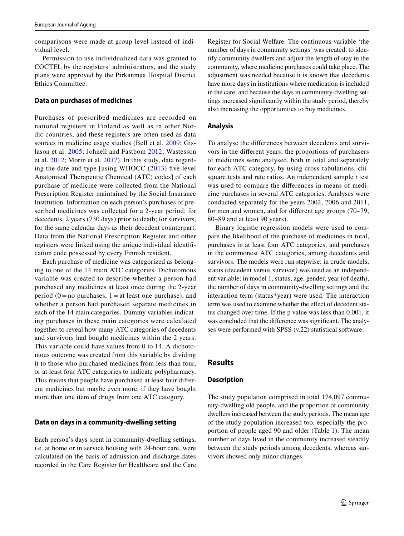comparisons were made at group level instead of individual level.

Permission to use individualized data was granted to COCTEL by the registers' administrators, and the study plans were approved by the Pirkanmaa Hospital District Ethics Committee.

#### **Data on purchases of medicines**

Purchases of prescribed medicines are recorded on national registers in Finland as well as in other Nordic countries, and these registers are often used as data sources in medicine usage studies (Bell et al. [2009](#page-8-7); Gislason et al. [2005](#page-8-5); Johnell and Fastbom [2012](#page-8-9); Wastesson et al. [2012;](#page-8-6) Morin et al. [2017](#page-8-13)). In this study, data regarding the date and type [using WHOCC  $(2013)$  five-level Anatomical Therapeutic Chemical (ATC) codes] of each purchase of medicine were collected from the National Prescription Register maintained by the Social Insurance Institution. Information on each person's purchases of prescribed medicines was collected for a 2-year period: for decedents, 2 years (730 days) prior to death; for survivors, for the same calendar days as their decedent counterpart. Data from the National Prescription Register and other registers were linked using the unique individual identifcation code possessed by every Finnish resident.

Each purchase of medicine was categorized as belonging to one of the 14 main ATC categories. Dichotomous variable was created to describe whether a person had purchased any medicines at least once during the 2-year period  $(0 = no$  purchases,  $1 = at$  least one purchase), and whether a person had purchased separate medicines in each of the 14 main categories. Dummy variables indicating purchases in these main categories were calculated together to reveal how many ATC categories of decedents and survivors had bought medicines within the 2 years. This variable could have values from 0 to 14. A dichotomous outcome was created from this variable by dividing it to those who purchased medicines from less than four, or at least four ATC categories to indicate polypharmacy. This means that people have purchased at least four diferent medicines but maybe even more, if they have bought more than one item of drugs from one ATC category.

#### **Data on days in a community‑dwelling setting**

Each person's days spent in community-dwelling settings, i.e. at home or in service housing with 24-hour care, were calculated on the basis of admission and discharge dates recorded in the Care Register for Healthcare and the Care

Register for Social Welfare. The continuous variable 'the number of days in community settings' was created, to identify community dwellers and adjust the length of stay in the community, where medicine purchases could take place. The adjustment was needed because it is known that decedents have more days in institutions where medication is included in the care, and because the days in community-dwelling settings increased signifcantly within the study period, thereby also increasing the opportunities to buy medicines.

#### **Analysis**

To analyse the diferences between decedents and survivors in the diferent years, the proportions of purchasers of medicines were analysed, both in total and separately for each ATC category, by using cross-tabulations, chisquare tests and rate ratios. An independent sample *t* test was used to compare the diferences in means of medicine purchases in several ATC categories. Analyses were conducted separately for the years 2002, 2006 and 2011, for men and women, and for diferent age groups (70–79, 80–89 and at least 90 years).

Binary logistic regression models were used to compare the likelihood of the purchase of medicines in total, purchases in at least four ATC categories, and purchases in the commonest ATC categories, among decedents and survivors. The models were run stepwise: in crude models, status (decedent versus survivor) was used as an independent variable; in model 1, status, age, gender, year (of death), the number of days in community-dwelling settings and the interaction term (status\*year) were used. The interaction term was used to examine whether the effect of decedent status changed over time. If the p value was less than 0.001, it was concluded that the diference was signifcant. The analyses were performed with SPSS (v.22) statistical software.

# **Results**

#### **Description**

The study population comprised in total 174,097 community-dwelling old people, and the proportion of community dwellers increased between the study periods. The mean age of the study population increased too, especially the proportion of people aged 90 and older (Table [1](#page-3-0)). The mean number of days lived in the community increased steadily between the study periods among decedents, whereas survivors showed only minor changes.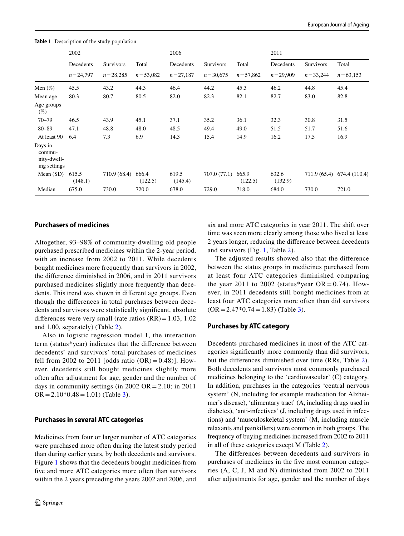<span id="page-3-0"></span>**Table 1** Description of the study population

|                                                  | 2002             |              |                  | 2006             |              |                  |                  | 2011         |                            |  |
|--------------------------------------------------|------------------|--------------|------------------|------------------|--------------|------------------|------------------|--------------|----------------------------|--|
|                                                  | Decedents        | Survivors    | Total            | Decedents        | Survivors    | Total            | Decedents        | Survivors    | Total                      |  |
|                                                  | $n = 24,797$     | $n = 28,285$ | $n = 53,082$     | $n = 27,187$     | $n = 30,675$ | $n = 57,862$     | $n = 29,909$     | $n = 33,244$ | $n = 63,153$               |  |
| Men $(\%)$                                       | 45.5             | 43.2         | 44.3             | 46.4             | 44.2         | 45.3             | 46.2             | 44.8         | 45.4                       |  |
| Mean age                                         | 80.3             | 80.7         | 80.5             | 82.0             | 82.3         | 82.1             | 82.7             | 83.0         | 82.8                       |  |
| Age groups<br>$(\%)$                             |                  |              |                  |                  |              |                  |                  |              |                            |  |
| $70 - 79$                                        | 46.5             | 43.9         | 45.1             | 37.1             | 35.2         | 36.1             | 32.3             | 30.8         | 31.5                       |  |
| $80 - 89$                                        | 47.1             | 48.8         | 48.0             | 48.5             | 49.4         | 49.0             | 51.5             | 51.7         | 51.6                       |  |
| At least 90                                      | 6.4              | 7.3          | 6.9              | 14.3             | 15.4         | 14.9             | 16.2             | 17.5         | 16.9                       |  |
| Days in<br>commu-<br>nity-dwell-<br>ing settings |                  |              |                  |                  |              |                  |                  |              |                            |  |
| Mean $(SD)$                                      | 615.5<br>(148.1) | 710.9 (68.4) | 666.4<br>(122.5) | 619.5<br>(145.4) | 707.0 (77.1) | 665.9<br>(122.5) | 632.6<br>(132.9) |              | 711.9 (65.4) 674.4 (110.4) |  |
| Median                                           | 675.0            | 730.0        | 720.0            | 678.0            | 729.0        | 718.0            | 684.0            | 730.0        | 721.0                      |  |

## **Purchasers of medicines**

Altogether, 93–98% of community-dwelling old people purchased prescribed medicines within the 2-year period, with an increase from 2002 to 2011. While decedents bought medicines more frequently than survivors in 2002, the diference diminished in 2006, and in 2011 survivors purchased medicines slightly more frequently than decedents. This trend was shown in diferent age groups. Even though the diferences in total purchases between decedents and survivors were statistically signifcant, absolute differences were very small (rate ratios  $(RR) = 1.03$ , 1.02 and 1.00, separately) (Table [2](#page-4-0)).

Also in logistic regression model 1, the interaction term (status\*year) indicates that the diference between decedents' and survivors' total purchases of medicines fell from 2002 to 2011 [odds ratio  $(OR) = 0.48$ ]. However, decedents still bought medicines slightly more often after adjustment for age, gender and the number of days in community settings (in 2002 OR = 2.10; in 2011  $OR = 2.10*0.48 = 1.01$  (Table [3\)](#page-5-0).

#### **Purchases in several ATC categories**

Medicines from four or larger number of ATC categories were purchased more often during the latest study period than during earlier years, by both decedents and survivors. Figure [1](#page-5-1) shows that the decedents bought medicines from five and more ATC categories more often than survivors within the 2 years preceding the years 2002 and 2006, and six and more ATC categories in year 2011. The shift over time was seen more clearly among those who lived at least 2 years longer, reducing the diference between decedents and survivors (Fig. [1,](#page-5-1) Table [2](#page-4-0)).

The adjusted results showed also that the diference between the status groups in medicines purchased from at least four ATC categories diminished comparing the year 2011 to 2002 (status\*year  $OR = 0.74$ ). However, in 2011 decedents still bought medicines from at least four ATC categories more often than did survivors  $(OR = 2.47*0.74 = 1.83)$  (Table [3](#page-5-0)).

#### **Purchases by ATC category**

Decedents purchased medicines in most of the ATC categories signifcantly more commonly than did survivors, but the diferences diminished over time (RRs, Table [2](#page-4-0)). Both decedents and survivors most commonly purchased medicines belonging to the 'cardiovascular' (C) category. In addition, purchases in the categories 'central nervous system' (N, including for example medication for Alzheimer's disease), 'alimentary tract' (A, including drugs used in diabetes), 'anti-infectives' (J, including drugs used in infections) and 'musculoskeletal system' (M, including muscle relaxants and painkillers) were common in both groups. The frequency of buying medicines increased from 2002 to 2011 in all of these categories except M (Table [2](#page-4-0)).

The differences between decedents and survivors in purchases of medicines in the fve most common categories (A, C, J, M and N) diminished from 2002 to 2011 after adjustments for age, gender and the number of days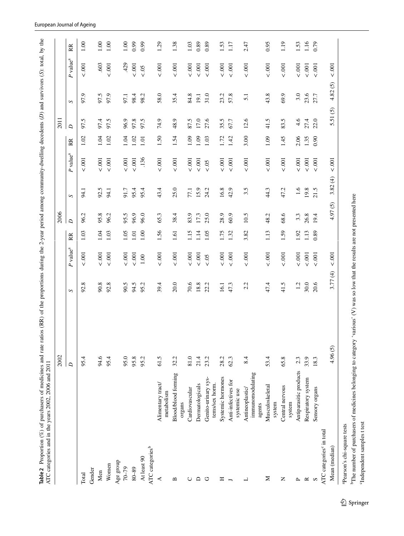|                                      |                                               | 2002    |                  |                        |      | 2006                 |              |                        |      | 2011            |                 |                        |      |
|--------------------------------------|-----------------------------------------------|---------|------------------|------------------------|------|----------------------|--------------|------------------------|------|-----------------|-----------------|------------------------|------|
|                                      |                                               | $\Box$  | S                | $P$ value <sup>a</sup> | RR   | $\overline{a}$       | $\mathbf{S}$ | $P$ value <sup>a</sup> | RR   | $\overline{D}$  | S               | $P$ value <sup>a</sup> | RR   |
| Total                                |                                               | 95.4    | $^{\circ}$<br>S. | $<.001$                | 1.03 | $\mathcal{L}$<br>96. | 94.          | .001<br>$\vee$         | 1.02 | 97.5            | 97.9            | $< .001$               | 1.00 |
| Gender                               |                                               |         |                  |                        |      |                      |              |                        |      |                 |                 |                        |      |
| Men                                  |                                               | 94.6    | 90.8             | $< .001$               | 1.04 | 95.8                 | 92.5         | $<.001$                | 1.04 | 97.4            | 97.5            | .603                   | 1.00 |
| Women                                |                                               | 95.4    | 92.8             | $<.001$                | 1.03 | 96.2                 | 94.1         | $<.001$                | 1.02 | 97.5            | 97.9            | 5.001                  | 1.00 |
| Age group                            |                                               |         |                  |                        |      |                      |              |                        |      |                 |                 |                        |      |
| 70-79                                |                                               | 95.0    | 90.5             | $< .001$               | 1.05 | 95.5                 | 91.7         | 00.5                   | 1.04 | 96.9            | 97.1            | 429                    | 1.00 |
| $80 - 89$                            |                                               | 95.8    | 94.5             | 5001                   | 1.01 | 96.9                 | 95.4         | $<.001$                | 1.02 | 97.8            | 98.4            | 5.001                  | 6.99 |
| At least 90                          |                                               | 95.2    | 95.2             | $1.00\,$               | 1.00 | 96.0                 | 95.4         | .136                   | 1.01 | 97.5            | 98.2            | $< .05$                | 6.99 |
| ATC categories <sup>b</sup>          |                                               |         |                  |                        |      |                      |              |                        |      |                 |                 |                        |      |
| ≺                                    | Alimentary tract/<br>metabolism               | 61.5    | 39.4             | $< .001$               | 1.56 | 65.3                 | 43.4         | $< .001$               | 1.50 | 74.9            | 58.0            | $< .001$               | 1.29 |
| $\mathbf{m}$                         | <b>Blood/blood forming</b><br>organs          | 32.2    | 20.0             | $< .001$               | 1.61 | 38.4                 | 25.0         | $< .001$               | 1.54 | 48.9            | 35.4            | 0.001                  | 1.38 |
| ◡                                    | Cardiovascular                                | 81.0    | 70.6             | $< .001$               | 1.15 | 83.9                 | 77.1         | $< .001$               | 1.09 | 87.5            | 84.8            | 5.001                  | 1.03 |
| ≏                                    | Dermatologicals                               | 21.4    | 18.8             | 5001                   | 1.14 | 17.3                 | 15.9         | 5.001                  | 1.09 | 17.0            | 19.1            | 001                    | 0.89 |
| O                                    | Genito-urinary sys-<br>tems/sex horm.         | 23.2    | 22.2             | $< 0.5$                | 1.05 | 25.0                 | 24.2         | $< .05$                | 1.03 | 27.6            | 31.0            | 001                    | 0.89 |
| Ξ                                    | Systemic hormones                             | 28.2    | 16.1             | $< .001$               | 1.75 | 28.9                 | 16.8         | $< .001$               | 1.72 | 35.5            | 23.2            | 001                    | 1.53 |
| $\overline{ }$                       | Anti-infectives for                           | 62.3    | 47.3             | 001                    | 1.32 | 60.9                 | 42.9         | 00.5                   | 1.42 | 67.7            | 57.8            | 001                    | 1.17 |
|                                      | systemic use                                  |         |                  |                        |      |                      |              |                        |      |                 |                 |                        |      |
| ┙                                    | immunomodulating<br>Antineoplastic/<br>agents | 8.4     | 2.2              | 001                    | 3.82 | 10.5                 | 3.5          | 5.001                  | 3.00 | 12.6            | 5.1             | 001                    | 2.47 |
| Σ                                    | Musculoskeletal<br>system                     | 53.4    | 47.4             | 00.5                   | 1.13 | 48.2                 | 44.3         | 0.001                  | 1.09 | 41.5            | 43.8            | 00.5                   | 0.95 |
| $\mathsf{z}$                         | Central nervous<br>system                     | 65.8    | 41.5             | 001                    | 1.59 | 68.6                 | 47.2         | 001                    | 1.45 | 83.5            | 69.9            | 001                    | 1.19 |
| $\sim$                               | Antiparasitic products                        | 2.3     | 1.2              | 5.001                  | 1.92 | 3.3                  | 1.6          | 00.5                   | 2.06 | 4.6             | 3.0             | 5.001                  | 1.53 |
| $\approx$                            | Respiratory system                            | 33.9    | 30.0             | $< .001$               | 1.13 | 26.8                 | 19.8         | 5.001                  | 1.35 | 27.4            | 23.6            | 5001                   | 1.16 |
| S                                    | Sensory organs                                | 18.3    | 20.6             | 001                    | 0.89 | 19.4                 | 21.5         | 001                    | 0.90 | 22.0            | 27.7            | $< .001$               | 0.79 |
| ATC categories <sup>c</sup> in total |                                               |         |                  |                        |      |                      |              |                        |      |                 |                 |                        |      |
| Mean (median)                        |                                               | 4.96(5) | 3.77(4)          | $< .001$               |      | $\odot$<br>50<br>4.  | 3.82(4)      | $< .001$               |      | $\odot$<br>5.51 | $\odot$<br>4.82 | $< 0.001$              |      |

<sup>c</sup>Independent samples t test

<span id="page-4-0"></span> $^{\rm c}$  Independent samples t test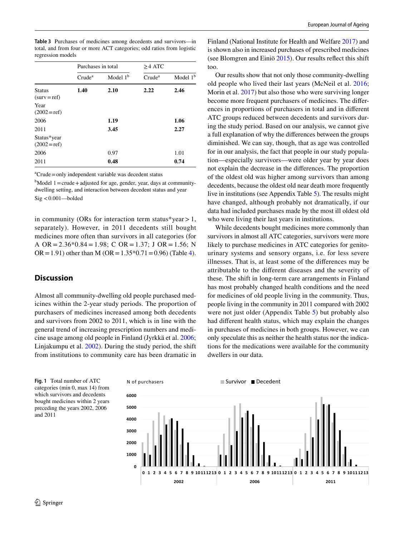<span id="page-5-0"></span>

| <b>Table 3</b> Purchases of medicines among decedents and survivors-in |
|------------------------------------------------------------------------|
| total, and from four or more ACT categories; odd ratios from logistic  |
| regression models                                                      |

|                                 | Purchases in total |            | $\geq$ 4 ATC       |            |
|---------------------------------|--------------------|------------|--------------------|------------|
|                                 | Crude <sup>a</sup> | Model $1b$ | Crude <sup>a</sup> | Model $1b$ |
| <b>Status</b><br>$(surv = ref)$ | 1.40               | 2.10       | 2.22               | 2.46       |
| Year<br>$(2002 = ref)$          |                    |            |                    |            |
| 2006                            |                    | 1.19       |                    | 1.06       |
| 2011                            |                    | 3.45       |                    | 2.27       |
| Status*year<br>$(2002 = ref)$   |                    |            |                    |            |
| 2006                            |                    | 0.97       |                    | 1.01       |
| 2011                            |                    | 0.48       |                    | 0.74       |
|                                 |                    |            |                    |            |

a Crude=only independent variable was decedent status

 $<sup>b</sup>$ Model 1 = crude + adjusted for age, gender, year, days at community-</sup> dwelling setting, and interaction between decedent status and year Sig <0.001—bolded

in community (ORs for interaction term status\*year  $> 1$ , separately). However, in 2011 decedents still bought medicines more often than survivors in all categories (for A OR =  $2.36*0.84 = 1.98$ ; C OR =  $1.37$ ; J OR =  $1.56$ ; N  $OR = 1.91$ ) other than M ( $OR = 1.35*0.71 = 0.96$ ) (Table [4](#page-6-0)).

# **Discussion**

Almost all community-dwelling old people purchased medicines within the 2-year study periods. The proportion of purchasers of medicines increased among both decedents and survivors from 2002 to 2011, which is in line with the general trend of increasing prescription numbers and medicine usage among old people in Finland (Jyrkkä et al. [2006](#page-8-10); Linjakumpu et al. [2002\)](#page-8-11). During the study period, the shift from institutions to community care has been dramatic in

Finland (National Institute for Health and Welfare [2017](#page-8-29)) and is shown also in increased purchases of prescribed medicines (see Blomgren and Einiö [2015\)](#page-8-31). Our results refect this shift too.

Our results show that not only those community-dwelling old people who lived their last years (McNeil et al. [2016](#page-8-12); Morin et al. [2017](#page-8-13)) but also those who were surviving longer become more frequent purchasers of medicines. The diferences in proportions of purchasers in total and in diferent ATC groups reduced between decedents and survivors during the study period. Based on our analysis, we cannot give a full explanation of why the diferences between the groups diminished. We can say, though, that as age was controlled for in our analysis, the fact that people in our study population—especially survivors—were older year by year does not explain the decrease in the diferences. The proportion of the oldest old was higher among survivors than among decedents, because the oldest old near death more frequently live in institutions (see Appendix Table [5\)](#page-7-0). The results might have changed, although probably not dramatically, if our data had included purchases made by the most ill oldest old who were living their last years in institutions.

While decedents bought medicines more commonly than survivors in almost all ATC categories, survivors were more likely to purchase medicines in ATC categories for genitourinary systems and sensory organs, i.e. for less severe illnesses. That is, at least some of the diferences may be attributable to the diferent diseases and the severity of these. The shift in long-term care arrangements in Finland has most probably changed health conditions and the need for medicines of old people living in the community. Thus, people living in the community in 2011 compared with 2002 were not just older (Appendix Table [5\)](#page-7-0) but probably also had diferent health status, which may explain the changes in purchases of medicines in both groups. However, we can only speculate this as neither the health status nor the indications for the medications were available for the community dwellers in our data.

<span id="page-5-1"></span>**Fig. 1** Total number of ATC categories (min 0, max 14) from which survivors and decedents bought medicines within 2 years preceding the years 2002, 2006 and 2011

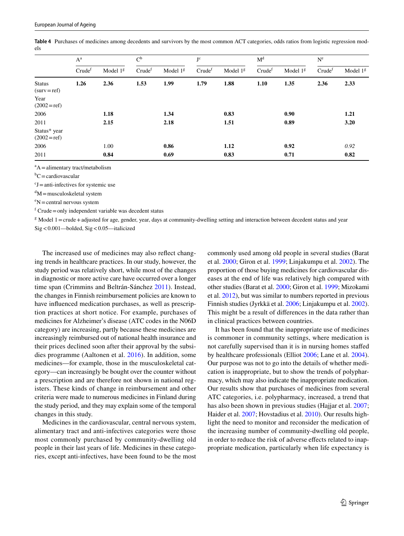|                                 | $A^a$              |            | C <sub>p</sub>     |            | J <sup>c</sup>     |            | M <sup>d</sup>     |            | $N^{e}$            |            |
|---------------------------------|--------------------|------------|--------------------|------------|--------------------|------------|--------------------|------------|--------------------|------------|
|                                 | Crude <sup>t</sup> | Model $1g$ | Crude <sup>f</sup> | Model $1g$ | Crude <sup>f</sup> | Model $1g$ | Crude <sup>f</sup> | Model $1g$ | Crude <sup>f</sup> | Model $1g$ |
| <b>Status</b><br>$(surv = ref)$ | 1.26               | 2.36       | 1.53               | 1.99       | 1.79               | 1.88       | 1.10               | 1.35       | 2.36               | 2.33       |
| Year<br>$(2002 = ref)$          |                    |            |                    |            |                    |            |                    |            |                    |            |
| 2006                            |                    | 1.18       |                    | 1.34       |                    | 0.83       |                    | 0.90       |                    | 1.21       |
| 2011                            |                    | 2.15       |                    | 2.18       |                    | 1.51       |                    | 0.89       |                    | 3.20       |
| Status* year<br>$(2002 = ref)$  |                    |            |                    |            |                    |            |                    |            |                    |            |
| 2006                            |                    | 1.00       |                    | 0.86       |                    | 1.12       |                    | 0.92       |                    | 0.92       |
| 2011                            |                    | 0.84       |                    | 0.69       |                    | 0.83       |                    | 0.71       |                    | 0.82       |

<span id="page-6-0"></span>**Table 4** Purchases of medicines among decedents and survivors by the most common ACT categories, odds ratios from logistic regression models

 $A =$ alimentary tract/metabolism

 ${}^{\text{b}}\text{C}$  = cardiovascular

 $cJ =$ anti-infectives for systemic use

 $\mathrm{d}M$  = musculoskeletal system

 $e<sup>e</sup>N =$ central nervous system

 $f$  Crude = only independent variable was decedent status

<sup>g</sup> Model 1 = crude + adjusted for age, gender, year, days at community-dwelling setting and interaction between decedent status and year

Sig<0.001—bolded, Sig<0.05—italicized

The increased use of medicines may also refect changing trends in healthcare practices. In our study, however, the study period was relatively short, while most of the changes in diagnostic or more active care have occurred over a longer time span (Crimmins and Beltrán-Sánchez [2011](#page-8-3)). Instead, the changes in Finnish reimbursement policies are known to have infuenced medication purchases, as well as prescription practices at short notice. For example, purchases of medicines for Alzheimer's disease (ATC codes in the N06D category) are increasing, partly because these medicines are increasingly reimbursed out of national health insurance and their prices declined soon after their approval by the subsidies programme (Aaltonen et al. [2016](#page-8-30)). In addition, some medicines—for example, those in the musculoskeletal category—can increasingly be bought over the counter without a prescription and are therefore not shown in national registers. These kinds of change in reimbursement and other criteria were made to numerous medicines in Finland during the study period, and they may explain some of the temporal changes in this study.

Medicines in the cardiovascular, central nervous system, alimentary tract and anti-infectives categories were those most commonly purchased by community-dwelling old people in their last years of life. Medicines in these categories, except anti-infectives, have been found to be the most

commonly used among old people in several studies (Barat et al. [2000](#page-8-0); Giron et al. [1999](#page-8-4); Linjakumpu et al. [2002](#page-8-11)). The proportion of those buying medicines for cardiovascular diseases at the end of life was relatively high compared with other studies (Barat et al. [2000;](#page-8-0) Giron et al. [1999](#page-8-4); Mizokami et al. [2012](#page-8-33)), but was similar to numbers reported in previous Finnish studies (Jyrkkä et al. [2006](#page-8-10); Linjakumpu et al. [2002](#page-8-11)). This might be a result of diferences in the data rather than in clinical practices between countries.

It has been found that the inappropriate use of medicines is commoner in community settings, where medication is not carefully supervised than it is in nursing homes stafed by healthcare professionals (Elliot [2006](#page-8-34); Lane et al. [2004](#page-8-35)). Our purpose was not to go into the details of whether medication is inappropriate, but to show the trends of polypharmacy, which may also indicate the inappropriate medication. Our results show that purchases of medicines from several ATC categories, i.e. polypharmacy, increased, a trend that has also been shown in previous studies (Hajjar et al. [2007](#page-8-36); Haider et al. [2007;](#page-8-37) Hovstadius et al. [2010](#page-8-38)). Our results highlight the need to monitor and reconsider the medication of the increasing number of community-dwelling old people, in order to reduce the risk of adverse efects related to inappropriate medication, particularly when life expectancy is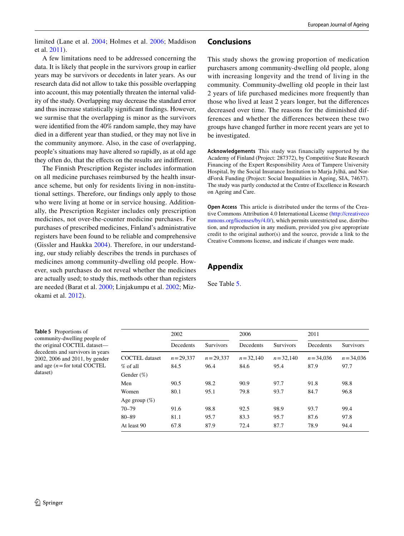limited (Lane et al. [2004;](#page-8-35) Holmes et al. [2006;](#page-8-23) Maddison et al. [2011](#page-8-26)).

# **Conclusions**

A few limitations need to be addressed concerning the data. It is likely that people in the survivors group in earlier years may be survivors or decedents in later years. As our research data did not allow to take this possible overlapping into account, this may potentially threaten the internal validity of the study. Overlapping may decrease the standard error and thus increase statistically signifcant fndings. However, we surmise that the overlapping is minor as the survivors were identifed from the 40% random sample, they may have died in a diferent year than studied, or they may not live in the community anymore. Also, in the case of overlapping, people's situations may have altered so rapidly, as at old age they often do, that the efects on the results are indiferent.

The Finnish Prescription Register includes information on all medicine purchases reimbursed by the health insurance scheme, but only for residents living in non-institutional settings. Therefore, our fndings only apply to those who were living at home or in service housing. Additionally, the Prescription Register includes only prescription medicines, not over-the-counter medicine purchases. For purchases of prescribed medicines, Finland's administrative registers have been found to be reliable and comprehensive (Gissler and Haukka [2004](#page-8-39)). Therefore, in our understanding, our study reliably describes the trends in purchases of medicines among community-dwelling old people. However, such purchases do not reveal whether the medicines are actually used; to study this, methods other than registers are needed (Barat et al. [2000;](#page-8-0) Linjakumpu et al. [2002](#page-8-11); Mizokami et al. [2012\)](#page-8-33).

This study shows the growing proportion of medication purchasers among community-dwelling old people, along with increasing longevity and the trend of living in the community. Community-dwelling old people in their last 2 years of life purchased medicines more frequently than those who lived at least 2 years longer, but the diferences decreased over time. The reasons for the diminished differences and whether the diferences between these two groups have changed further in more recent years are yet to be investigated.

**Acknowledgements** This study was financially supported by the Academy of Finland (Project: 287372), by Competitive State Research Financing of the Expert Responsibility Area of Tampere University Hospital, by the Social Insurance Institution to Marja Jylhä, and NordForsk Funding (Project: Social Inequalities in Ageing, SIA, 74637). The study was partly conducted at the Centre of Excellence in Research on Ageing and Care.

**Open Access** This article is distributed under the terms of the Creative Commons Attribution 4.0 International License ([http://creativeco](http://creativecommons.org/licenses/by/4.0/) [mmons.org/licenses/by/4.0/](http://creativecommons.org/licenses/by/4.0/)), which permits unrestricted use, distribution, and reproduction in any medium, provided you give appropriate credit to the original author(s) and the source, provide a link to the Creative Commons license, and indicate if changes were made.

# **Appendix**

See Table [5](#page-7-0).

<span id="page-7-0"></span>**Table 5** Proportions of community-dwelling people of the original COCTEL dataset decedents and survivors in years 2002, 2006 and 2011, by gender and age  $(n =$  for total COCTEL dataset)

|                       | 2002         |                  | 2006         |                  | 2011         |                  |
|-----------------------|--------------|------------------|--------------|------------------|--------------|------------------|
|                       | Decedents    | <b>Survivors</b> | Decedents    | <b>Survivors</b> | Decedents    | <b>Survivors</b> |
| <b>COCTEL</b> dataset | $n = 29.337$ | $n = 29.337$     | $n = 32.140$ | $n = 32.140$     | $n = 34.036$ | $n = 34,036$     |
| % of all              | 84.5         | 96.4             | 84.6         | 95.4             | 87.9         | 97.7             |
| Gender $(\%)$         |              |                  |              |                  |              |                  |
| Men                   | 90.5         | 98.2             | 90.9         | 97.7             | 91.8         | 98.8             |
| Women                 | 80.1         | 95.1             | 79.8         | 93.7             | 84.7         | 96.8             |
| Age group $(\%)$      |              |                  |              |                  |              |                  |
| $70 - 79$             | 91.6         | 98.8             | 92.5         | 98.9             | 93.7         | 99.4             |
| $80 - 89$             | 81.1         | 95.7             | 83.3         | 95.7             | 87.6         | 97.8             |
| At least 90           | 67.8         | 87.9             | 72.4         | 87.7             | 78.9         | 94.4             |